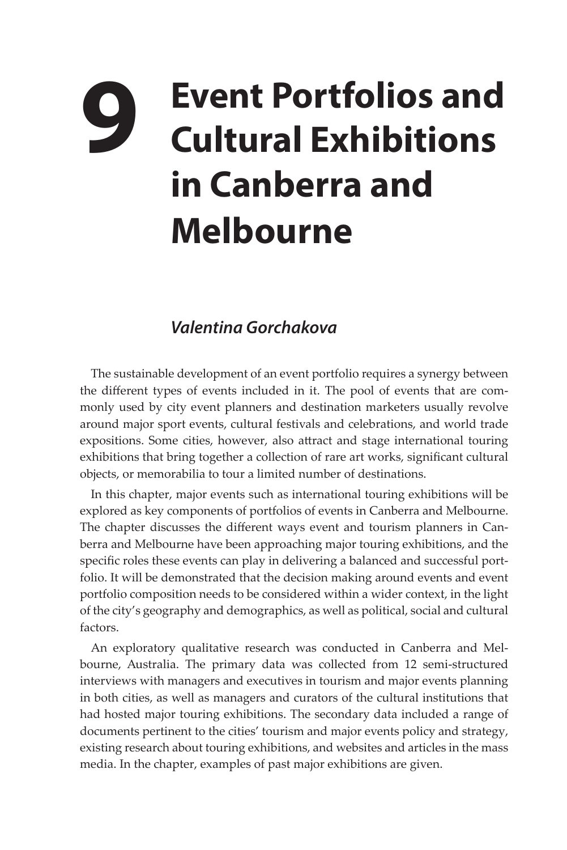## **9 Event Portfolios and Cultural Exhibitions in Canberra and Melbourne**

## *Valentina Gorchakova*

The sustainable development of an event portfolio requires a synergy between the different types of events included in it. The pool of events that are commonly used by city event planners and destination marketers usually revolve around major sport events, cultural festivals and celebrations, and world trade expositions. Some cities, however, also attract and stage international touring exhibitions that bring together a collection of rare art works, significant cultural objects, or memorabilia to tour a limited number of destinations.

In this chapter, major events such as international touring exhibitions will be explored as key components of portfolios of events in Canberra and Melbourne. The chapter discusses the different ways event and tourism planners in Canberra and Melbourne have been approaching major touring exhibitions, and the specific roles these events can play in delivering a balanced and successful portfolio. It will be demonstrated that the decision making around events and event portfolio composition needs to be considered within a wider context, in the light of the city's geography and demographics, as well as political, social and cultural factors.

An exploratory qualitative research was conducted in Canberra and Melbourne, Australia. The primary data was collected from 12 semi-structured interviews with managers and executives in tourism and major events planning in both cities, as well as managers and curators of the cultural institutions that had hosted major touring exhibitions. The secondary data included a range of documents pertinent to the cities' tourism and major events policy and strategy, existing research about touring exhibitions, and websites and articles in the mass media. In the chapter, examples of past major exhibitions are given.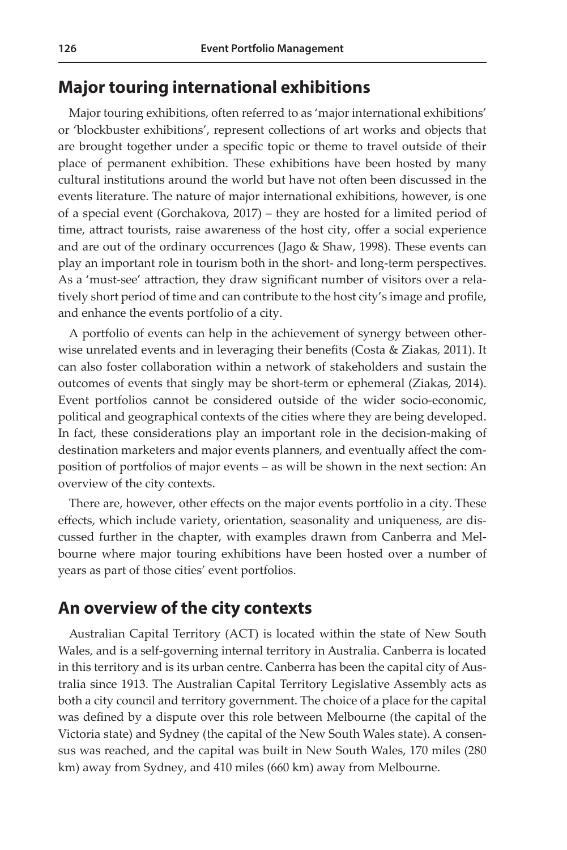## **Major touring international exhibitions**

Major touring exhibitions, often referred to as 'major international exhibitions' or 'blockbuster exhibitions', represent collections of art works and objects that are brought together under a specific topic or theme to travel outside of their place of permanent exhibition. These exhibitions have been hosted by many cultural institutions around the world but have not often been discussed in the events literature. The nature of major international exhibitions, however, is one of a special event (Gorchakova, 2017) – they are hosted for a limited period of time, attract tourists, raise awareness of the host city, offer a social experience and are out of the ordinary occurrences (Jago & Shaw, 1998). These events can play an important role in tourism both in the short- and long-term perspectives. As a 'must-see' attraction, they draw significant number of visitors over a relatively short period of time and can contribute to the host city's image and profile, and enhance the events portfolio of a city.

A portfolio of events can help in the achievement of synergy between otherwise unrelated events and in leveraging their benefits (Costa & Ziakas, 2011). It can also foster collaboration within a network of stakeholders and sustain the outcomes of events that singly may be short-term or ephemeral (Ziakas, 2014). Event portfolios cannot be considered outside of the wider socio-economic, political and geographical contexts of the cities where they are being developed. In fact, these considerations play an important role in the decision-making of destination marketers and major events planners, and eventually affect the composition of portfolios of major events – as will be shown in the next section: An overview of the city contexts.

There are, however, other effects on the major events portfolio in a city. These effects, which include variety, orientation, seasonality and uniqueness, are discussed further in the chapter, with examples drawn from Canberra and Melbourne where major touring exhibitions have been hosted over a number of years as part of those cities' event portfolios.

## **An overview of the city contexts**

Australian Capital Territory (ACT) is located within the state of New South Wales, and is a self-governing internal territory in Australia. Canberra is located in this territory and is its urban centre. Canberra has been the capital city of Australia since 1913. The [Australian Capital Territory Legislative Assembly](https://en.wikipedia.org/wiki/Australian_Capital_Territory_Legislative_Assembly) acts as both a [city council](https://en.wikipedia.org/wiki/City_council) and territory government. The choice of a place for the capital was defined by a dispute over this role between Melbourne (the capital of the Victoria state) and Sydney (the capital of the New South Wales state). A consensus was reached, and the capital was built in New South Wales, 170 miles (280 km) away from Sydney, and 410 miles (660 km) away from Melbourne.